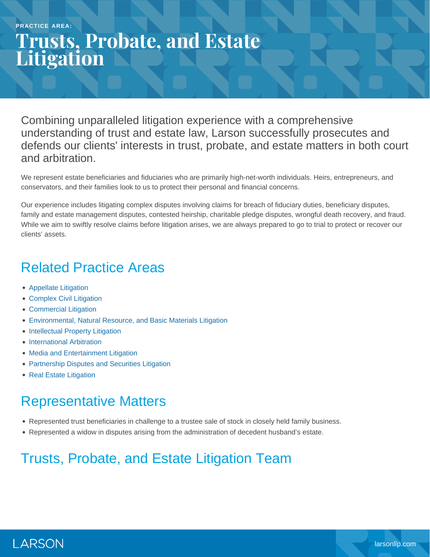# **Trusts, Probate, and Estate Litigation**

Combining unparalleled litigation experience with a comprehensive understanding of trust and estate law, Larson successfully prosecutes and defends our clients' interests in trust, probate, and estate matters in both court and arbitration.

We represent estate beneficiaries and fiduciaries who are primarily high-net-worth individuals. Heirs, entrepreneurs, and conservators, and their families look to us to protect their personal and financial concerns.

Our experience includes litigating complex disputes involving claims for breach of fiduciary duties, beneficiary disputes, family and estate management disputes, contested heirship, charitable pledge disputes, wrongful death recovery, and fraud. While we aim to swiftly resolve claims before litigation arises, we are always prepared to go to trial to protect or recover our clients' assets.

# Related Practice Areas

- [Appellate Litigation](https://www.larsonllp.com/practice-areas/appellate-litigation/)
- [Complex Civil Litigation](https://www.larsonllp.com/practice-areas/complex-civil-litigation/)
- [Commercial Litigation](https://www.larsonllp.com/practice-areas/complex-civil-litigation/commercial-litigation/)
- [Environmental, Natural Resource, and Basic Materials Litigation](https://www.larsonllp.com/practice-areas/complex-civil-litigation/environmental-natural-resource-and-basic-materials-litigation/)
- [Intellectual Property Litigation](https://www.larsonllp.com/practice-areas/complex-civil-litigation/intellectual-property-litigation/)
- **[International Arbitration](https://www.larsonllp.com/practice-areas/complex-civil-litigation/international-arbitration/)**
- [Media and Entertainment Litigation](https://www.larsonllp.com/practice-areas/complex-civil-litigation/media-and-entertainment-litigation/)
- [Partnership Disputes and Securities Litigation](https://www.larsonllp.com/practice-areas/complex-civil-litigation/partnership-disputes-and-securities-litigation/)
- [Real Estate Litigation](https://www.larsonllp.com/practice-areas/complex-civil-litigation/real-estate-litigation/)

# Representative Matters

- Represented trust beneficiaries in challenge to a trustee sale of stock in closely held family business.
- Represented a widow in disputes arising from the administration of decedent husband's estate.

### Trusts, Probate, and Estate Litigation Team